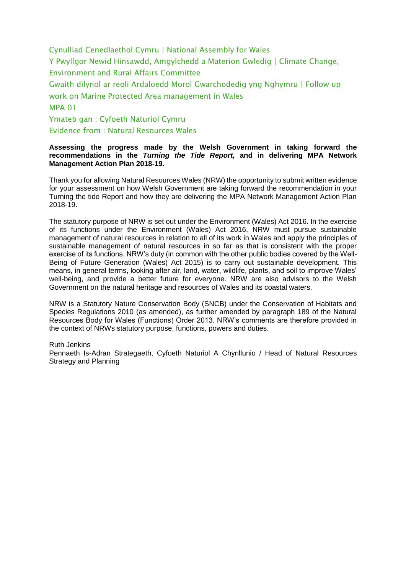Cynulliad Cenedlaethol Cymru | National Assembly for Wales Y Pwyllgor Newid Hinsawdd, Amgylchedd a Materion Gwledig | Climate Change, Environment and Rural Affairs Committee

Gwaith dilynol ar reoli Ardaloedd Morol Gwarchodedig yng Nghymru | Follow up work on Marine Protected Area management in Wales

#### MPA 01

Ymateb gan : Cyfoeth Naturiol Cymru Evidence from : Natural Resources Wales

#### **Assessing the progress made by the Welsh Government in taking forward the recommendations in the** *Turning the Tide Report,* **and in delivering MPA Network Management Action Plan 2018-19.**

Thank you for allowing Natural Resources Wales (NRW) the opportunity to submit written evidence for your assessment on how Welsh Government are taking forward the recommendation in your Turning the tide Report and how they are delivering the MPA Network Management Action Plan 2018-19.

The statutory purpose of NRW is set out under the Environment (Wales) Act 2016. In the exercise of its functions under the Environment (Wales) Act 2016, NRW must pursue sustainable management of natural resources in relation to all of its work in Wales and apply the principles of sustainable management of natural resources in so far as that is consistent with the proper exercise of its functions. NRW's duty (in common with the other public bodies covered by the Well-Being of Future Generation (Wales) Act 2015) is to carry out sustainable development. This means, in general terms, looking after air, land, water, wildlife, plants, and soil to improve Wales' well-being, and provide a better future for everyone. NRW are also advisors to the Welsh Government on the natural heritage and resources of Wales and its coastal waters.

NRW is a Statutory Nature Conservation Body (SNCB) under the Conservation of Habitats and Species Regulations 2010 (as amended), as further amended by paragraph 189 of the Natural Resources Body for Wales (Functions) Order 2013. NRW's comments are therefore provided in the context of NRWs statutory purpose, functions, powers and duties.

#### Ruth Jenkins

Pennaeth Is-Adran Strategaeth, Cyfoeth Naturiol A Chynllunio / Head of Natural Resources Strategy and Planning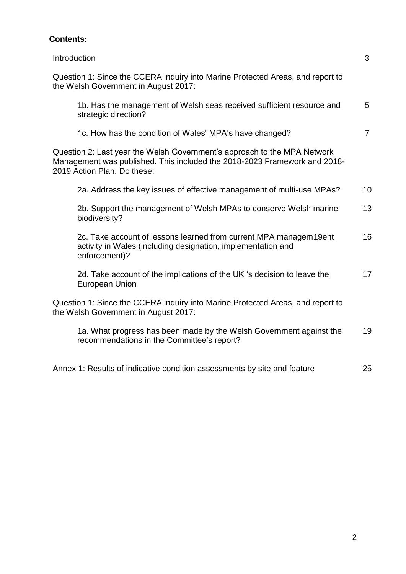# **Contents:**

| Introduction                                                                                                                                                                         | 3              |
|--------------------------------------------------------------------------------------------------------------------------------------------------------------------------------------|----------------|
| Question 1: Since the CCERA inquiry into Marine Protected Areas, and report to<br>the Welsh Government in August 2017:                                                               |                |
| 1b. Has the management of Welsh seas received sufficient resource and<br>strategic direction?                                                                                        | 5              |
| 1c. How has the condition of Wales' MPA's have changed?                                                                                                                              | $\overline{7}$ |
| Question 2: Last year the Welsh Government's approach to the MPA Network<br>Management was published. This included the 2018-2023 Framework and 2018-<br>2019 Action Plan. Do these: |                |
| 2a. Address the key issues of effective management of multi-use MPAs?                                                                                                                | 10             |
| 2b. Support the management of Welsh MPAs to conserve Welsh marine<br>biodiversity?                                                                                                   | 13             |
| 2c. Take account of lessons learned from current MPA managem19ent<br>activity in Wales (including designation, implementation and<br>enforcement)?                                   | 16             |
| 2d. Take account of the implications of the UK 's decision to leave the<br><b>European Union</b>                                                                                     | 17             |
| Question 1: Since the CCERA inquiry into Marine Protected Areas, and report to<br>the Welsh Government in August 2017:                                                               |                |
| 1a. What progress has been made by the Welsh Government against the<br>recommendations in the Committee's report?                                                                    | 19             |
| Annex 1: Results of indicative condition assessments by site and feature                                                                                                             | 25             |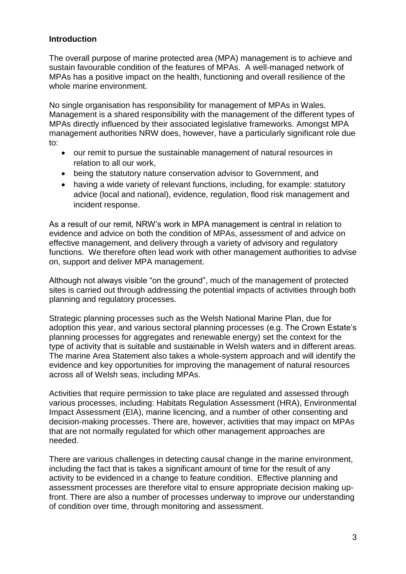### **Introduction**

The overall purpose of marine protected area (MPA) management is to achieve and sustain favourable condition of the features of MPAs. A well-managed network of MPAs has a positive impact on the health, functioning and overall resilience of the whole marine environment.

No single organisation has responsibility for management of MPAs in Wales. Management is a shared responsibility with the management of the different types of MPAs directly influenced by their associated legislative frameworks. Amongst MPA management authorities NRW does, however, have a particularly significant role due to:

- our remit to pursue the sustainable management of natural resources in relation to all our work,
- being the statutory nature conservation advisor to Government, and
- having a wide variety of relevant functions, including, for example: statutory advice (local and national), evidence, regulation, flood risk management and incident response.

As a result of our remit, NRW's work in MPA management is central in relation to evidence and advice on both the condition of MPAs, assessment of and advice on effective management, and delivery through a variety of advisory and regulatory functions. We therefore often lead work with other management authorities to advise on, support and deliver MPA management.

Although not always visible "on the ground", much of the management of protected sites is carried out through addressing the potential impacts of activities through both planning and regulatory processes.

Strategic planning processes such as the Welsh National Marine Plan, due for adoption this year, and various sectoral planning processes (e.g. The Crown Estate's planning processes for aggregates and renewable energy) set the context for the type of activity that is suitable and sustainable in Welsh waters and in different areas. The marine Area Statement also takes a whole-system approach and will identify the evidence and key opportunities for improving the management of natural resources across all of Welsh seas, including MPAs.

Activities that require permission to take place are regulated and assessed through various processes, including: Habitats Regulation Assessment (HRA), Environmental Impact Assessment (EIA), marine licencing, and a number of other consenting and decision-making processes. There are, however, activities that may impact on MPAs that are not normally regulated for which other management approaches are needed.

There are various challenges in detecting causal change in the marine environment, including the fact that is takes a significant amount of time for the result of any activity to be evidenced in a change to feature condition. Effective planning and assessment processes are therefore vital to ensure appropriate decision making upfront. There are also a number of processes underway to improve our understanding of condition over time, through monitoring and assessment.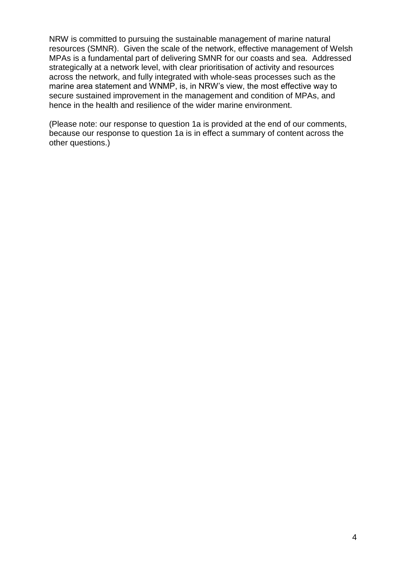NRW is committed to pursuing the sustainable management of marine natural resources (SMNR). Given the scale of the network, effective management of Welsh MPAs is a fundamental part of delivering SMNR for our coasts and sea. Addressed strategically at a network level, with clear prioritisation of activity and resources across the network, and fully integrated with whole-seas processes such as the marine area statement and WNMP, is, in NRW's view, the most effective way to secure sustained improvement in the management and condition of MPAs, and hence in the health and resilience of the wider marine environment.

(Please note: our response to question 1a is provided at the end of our comments, because our response to question 1a is in effect a summary of content across the other questions.)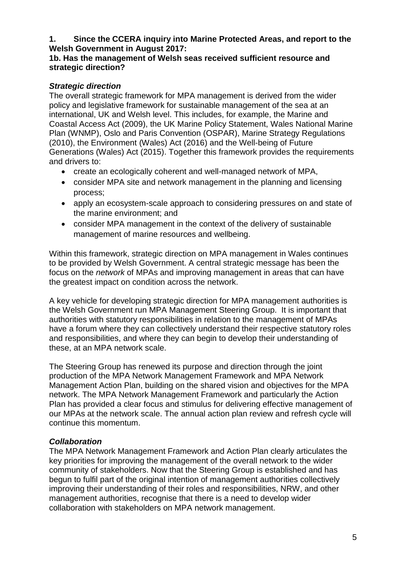## **1. Since the CCERA inquiry into Marine Protected Areas, and report to the Welsh Government in August 2017:**

### **1b. Has the management of Welsh seas received sufficient resource and strategic direction?**

## *Strategic direction*

The overall strategic framework for MPA management is derived from the wider policy and legislative framework for sustainable management of the sea at an international, UK and Welsh level. This includes, for example, the Marine and Coastal Access Act (2009), the UK Marine Policy Statement, Wales National Marine Plan (WNMP), Oslo and Paris Convention (OSPAR), Marine Strategy Regulations (2010), the Environment (Wales) Act (2016) and the Well-being of Future Generations (Wales) Act (2015). Together this framework provides the requirements and drivers to:

- create an ecologically coherent and well-managed network of MPA,
- consider MPA site and network management in the planning and licensing process;
- apply an ecosystem-scale approach to considering pressures on and state of the marine environment; and
- consider MPA management in the context of the delivery of sustainable management of marine resources and wellbeing.

Within this framework, strategic direction on MPA management in Wales continues to be provided by Welsh Government. A central strategic message has been the focus on the *network* of MPAs and improving management in areas that can have the greatest impact on condition across the network.

A key vehicle for developing strategic direction for MPA management authorities is the Welsh Government run MPA Management Steering Group. It is important that authorities with statutory responsibilities in relation to the management of MPAs have a forum where they can collectively understand their respective statutory roles and responsibilities, and where they can begin to develop their understanding of these, at an MPA network scale.

The Steering Group has renewed its purpose and direction through the joint production of the MPA Network Management Framework and MPA Network Management Action Plan, building on the shared vision and objectives for the MPA network. The MPA Network Management Framework and particularly the Action Plan has provided a clear focus and stimulus for delivering effective management of our MPAs at the network scale. The annual action plan review and refresh cycle will continue this momentum.

# *Collaboration*

The MPA Network Management Framework and Action Plan clearly articulates the key priorities for improving the management of the overall network to the wider community of stakeholders. Now that the Steering Group is established and has begun to fulfil part of the original intention of management authorities collectively improving their understanding of their roles and responsibilities, NRW, and other management authorities, recognise that there is a need to develop wider collaboration with stakeholders on MPA network management.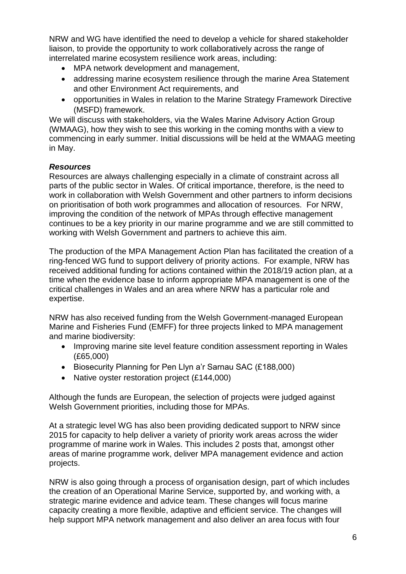NRW and WG have identified the need to develop a vehicle for shared stakeholder liaison, to provide the opportunity to work collaboratively across the range of interrelated marine ecosystem resilience work areas, including:

- MPA network development and management,
- addressing marine ecosystem resilience through the marine Area Statement and other Environment Act requirements, and
- opportunities in Wales in relation to the Marine Strategy Framework Directive (MSFD) framework.

We will discuss with stakeholders, via the Wales Marine Advisory Action Group (WMAAG), how they wish to see this working in the coming months with a view to commencing in early summer. Initial discussions will be held at the WMAAG meeting in May.

### *Resources*

Resources are always challenging especially in a climate of constraint across all parts of the public sector in Wales. Of critical importance, therefore, is the need to work in collaboration with Welsh Government and other partners to inform decisions on prioritisation of both work programmes and allocation of resources. For NRW, improving the condition of the network of MPAs through effective management continues to be a key priority in our marine programme and we are still committed to working with Welsh Government and partners to achieve this aim.

The production of the MPA Management Action Plan has facilitated the creation of a ring-fenced WG fund to support delivery of priority actions. For example, NRW has received additional funding for actions contained within the 2018/19 action plan, at a time when the evidence base to inform appropriate MPA management is one of the critical challenges in Wales and an area where NRW has a particular role and expertise.

NRW has also received funding from the Welsh Government-managed European Marine and Fisheries Fund (EMFF) for three projects linked to MPA management and marine biodiversity:

- Improving marine site level feature condition assessment reporting in Wales (£65,000)
- Biosecurity Planning for Pen Llyn a'r Sarnau SAC (£188,000)
- Native oyster restoration project (£144,000)

Although the funds are European, the selection of projects were judged against Welsh Government priorities, including those for MPAs.

At a strategic level WG has also been providing dedicated support to NRW since 2015 for capacity to help deliver a variety of priority work areas across the wider programme of marine work in Wales. This includes 2 posts that, amongst other areas of marine programme work, deliver MPA management evidence and action projects.

NRW is also going through a process of organisation design, part of which includes the creation of an Operational Marine Service, supported by, and working with, a strategic marine evidence and advice team. These changes will focus marine capacity creating a more flexible, adaptive and efficient service. The changes will help support MPA network management and also deliver an area focus with four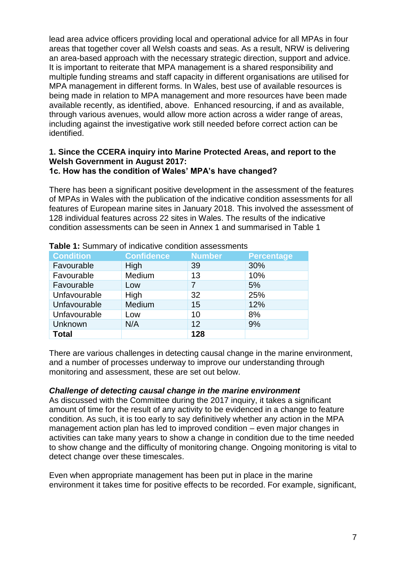lead area advice officers providing local and operational advice for all MPAs in four areas that together cover all Welsh coasts and seas. As a result, NRW is delivering an area-based approach with the necessary strategic direction, support and advice. It is important to reiterate that MPA management is a shared responsibility and multiple funding streams and staff capacity in different organisations are utilised for MPA management in different forms. In Wales, best use of available resources is being made in relation to MPA management and more resources have been made available recently, as identified, above. Enhanced resourcing, if and as available, through various avenues, would allow more action across a wider range of areas, including against the investigative work still needed before correct action can be identified.

#### **1. Since the CCERA inquiry into Marine Protected Areas, and report to the Welsh Government in August 2017: 1c. How has the condition of Wales' MPA's have changed?**

There has been a significant positive development in the assessment of the features of MPAs in Wales with the publication of the indicative condition assessments for all features of European marine sites in January 2018. This involved the assessment of 128 individual features across 22 sites in Wales. The results of the indicative condition assessments can be seen in Annex 1 and summarised in Table 1

| <b>Condition</b> | <b>Confidence</b> | <b>Number</b> | <b>Percentage</b> |
|------------------|-------------------|---------------|-------------------|
| Favourable       | High              | 39            | 30%               |
| Favourable       | Medium            | 13            | 10%               |
| Favourable       | Low               | 7             | 5%                |
| Unfavourable     | High              | 32            | 25%               |
| Unfavourable     | Medium            | 15            | 12%               |
| Unfavourable     | Low               | 10            | 8%                |
| Unknown          | N/A               | 12            | 9%                |
| <b>Total</b>     |                   | 128           |                   |

**Table 1:** Summary of indicative condition assessments

There are various challenges in detecting causal change in the marine environment, and a number of processes underway to improve our understanding through monitoring and assessment, these are set out below.

### *Challenge of detecting causal change in the marine environment*

As discussed with the Committee during the 2017 inquiry, it takes a significant amount of time for the result of any activity to be evidenced in a change to feature condition. As such, it is too early to say definitively whether any action in the MPA management action plan has led to improved condition – even major changes in activities can take many years to show a change in condition due to the time needed to show change and the difficulty of monitoring change. Ongoing monitoring is vital to detect change over these timescales.

Even when appropriate management has been put in place in the marine environment it takes time for positive effects to be recorded. For example, significant,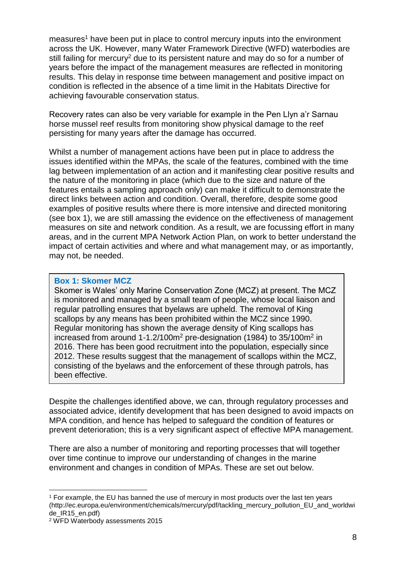measures<sup>1</sup> have been put in place to control mercury inputs into the environment across the UK. However, many Water Framework Directive (WFD) waterbodies are still failing for mercury<sup>2</sup> due to its persistent nature and may do so for a number of years before the impact of the management measures are reflected in monitoring results. This delay in response time between management and positive impact on condition is reflected in the absence of a time limit in the Habitats Directive for achieving favourable conservation status.

Recovery rates can also be very variable for example in the Pen Llyn a'r Sarnau horse mussel reef results from monitoring show physical damage to the reef persisting for many years after the damage has occurred.

Whilst a number of management actions have been put in place to address the issues identified within the MPAs, the scale of the features, combined with the time lag between implementation of an action and it manifesting clear positive results and the nature of the monitoring in place (which due to the size and nature of the features entails a sampling approach only) can make it difficult to demonstrate the direct links between action and condition. Overall, therefore, despite some good examples of positive results where there is more intensive and directed monitoring (see box 1), we are still amassing the evidence on the effectiveness of management measures on site and network condition. As a result, we are focussing effort in many areas, and in the current MPA Network Action Plan, on work to better understand the impact of certain activities and where and what management may, or as importantly, may not, be needed.

#### **Box 1: Skomer MCZ**

Skomer is Wales' only Marine Conservation Zone (MCZ) at present. The MCZ is monitored and managed by a small team of people, whose local liaison and regular patrolling ensures that byelaws are upheld. The removal of King scallops by any means has been prohibited within the MCZ since 1990. Regular monitoring has shown the average density of King scallops has increased from around 1-1.2/100m<sup>2</sup> pre-designation (1984) to 35/100m<sup>2</sup> in 2016. There has been good recruitment into the population, especially since 2012. These results suggest that the management of scallops within the MCZ, consisting of the byelaws and the enforcement of these through patrols, has been effective.

Despite the challenges identified above, we can, through regulatory processes and associated advice, identify development that has been designed to avoid impacts on MPA condition, and hence has helped to safeguard the condition of features or prevent deterioration; this is a very significant aspect of effective MPA management.

There are also a number of monitoring and reporting processes that will together over time continue to improve our understanding of changes in the marine environment and changes in condition of MPAs. These are set out below.

<sup>1</sup> <sup>1</sup> For example, the EU has banned the use of mercury in most products over the last ten years (http://ec.europa.eu/environment/chemicals/mercury/pdf/tackling\_mercury\_pollution\_EU\_and\_worldwi de IR15 en.pdf)

<sup>2</sup> WFD Waterbody assessments 2015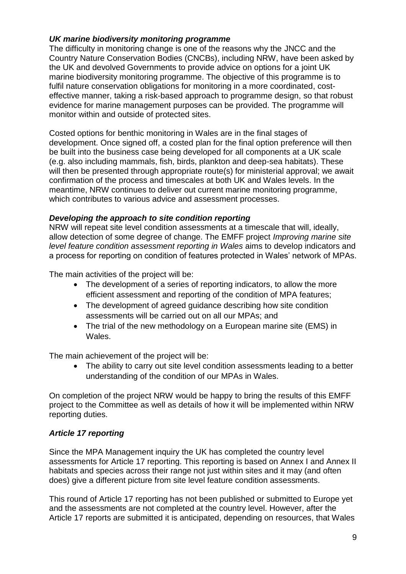### *UK marine biodiversity monitoring programme*

The difficulty in monitoring change is one of the reasons why the JNCC and the Country Nature Conservation Bodies (CNCBs), including NRW, have been asked by the UK and devolved Governments to provide advice on options for a joint UK marine biodiversity monitoring programme. The objective of this programme is to fulfil nature conservation obligations for monitoring in a more coordinated, costeffective manner, taking a risk-based approach to programme design, so that robust evidence for marine management purposes can be provided. The programme will monitor within and outside of protected sites.

Costed options for benthic monitoring in Wales are in the final stages of development. Once signed off, a costed plan for the final option preference will then be built into the business case being developed for all components at a UK scale (e.g. also including mammals, fish, birds, plankton and deep-sea habitats). These will then be presented through appropriate route(s) for ministerial approval; we await confirmation of the process and timescales at both UK and Wales levels. In the meantime, NRW continues to deliver out current marine monitoring programme, which contributes to various advice and assessment processes.

### *Developing the approach to site condition reporting*

NRW will repeat site level condition assessments at a timescale that will, ideally, allow detection of some degree of change. The EMFF project *Improving marine site level feature condition assessment reporting in Wales* aims to develop indicators and a process for reporting on condition of features protected in Wales' network of MPAs.

The main activities of the project will be:

- The development of a series of reporting indicators, to allow the more efficient assessment and reporting of the condition of MPA features;
- The development of agreed guidance describing how site condition assessments will be carried out on all our MPAs; and
- The trial of the new methodology on a European marine site (EMS) in Wales.

The main achievement of the project will be:

 The ability to carry out site level condition assessments leading to a better understanding of the condition of our MPAs in Wales.

On completion of the project NRW would be happy to bring the results of this EMFF project to the Committee as well as details of how it will be implemented within NRW reporting duties.

## *Article 17 reporting*

Since the MPA Management inquiry the UK has completed the country level assessments for Article 17 reporting. This reporting is based on Annex I and Annex II habitats and species across their range not just within sites and it may (and often does) give a different picture from site level feature condition assessments.

This round of Article 17 reporting has not been published or submitted to Europe yet and the assessments are not completed at the country level. However, after the Article 17 reports are submitted it is anticipated, depending on resources, that Wales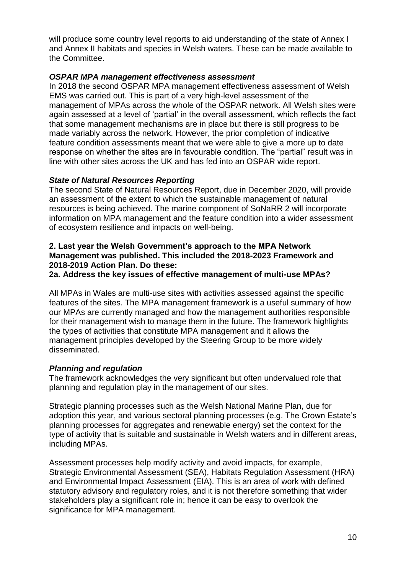will produce some country level reports to aid understanding of the state of Annex I and Annex II habitats and species in Welsh waters. These can be made available to the Committee.

### *OSPAR MPA management effectiveness assessment*

In 2018 the second OSPAR MPA management effectiveness assessment of Welsh EMS was carried out. This is part of a very high-level assessment of the management of MPAs across the whole of the OSPAR network. All Welsh sites were again assessed at a level of 'partial' in the overall assessment, which reflects the fact that some management mechanisms are in place but there is still progress to be made variably across the network. However, the prior completion of indicative feature condition assessments meant that we were able to give a more up to date response on whether the sites are in favourable condition. The "partial" result was in line with other sites across the UK and has fed into an OSPAR wide report.

#### *State of Natural Resources Reporting*

The second State of Natural Resources Report, due in December 2020, will provide an assessment of the extent to which the sustainable management of natural resources is being achieved. The marine component of SoNaRR 2 will incorporate information on MPA management and the feature condition into a wider assessment of ecosystem resilience and impacts on well-being.

### **2. Last year the Welsh Government's approach to the MPA Network Management was published. This included the 2018-2023 Framework and 2018-2019 Action Plan. Do these:**

#### **2a. Address the key issues of effective management of multi-use MPAs?**

All MPAs in Wales are multi-use sites with activities assessed against the specific features of the sites. The MPA management framework is a useful summary of how our MPAs are currently managed and how the management authorities responsible for their management wish to manage them in the future. The framework highlights the types of activities that constitute MPA management and it allows the management principles developed by the Steering Group to be more widely disseminated.

#### *Planning and regulation*

The framework acknowledges the very significant but often undervalued role that planning and regulation play in the management of our sites.

Strategic planning processes such as the Welsh National Marine Plan, due for adoption this year, and various sectoral planning processes (e.g. The Crown Estate's planning processes for aggregates and renewable energy) set the context for the type of activity that is suitable and sustainable in Welsh waters and in different areas, including MPAs.

Assessment processes help modify activity and avoid impacts, for example, Strategic Environmental Assessment (SEA), Habitats Regulation Assessment (HRA) and Environmental Impact Assessment (EIA). This is an area of work with defined statutory advisory and regulatory roles, and it is not therefore something that wider stakeholders play a significant role in; hence it can be easy to overlook the significance for MPA management.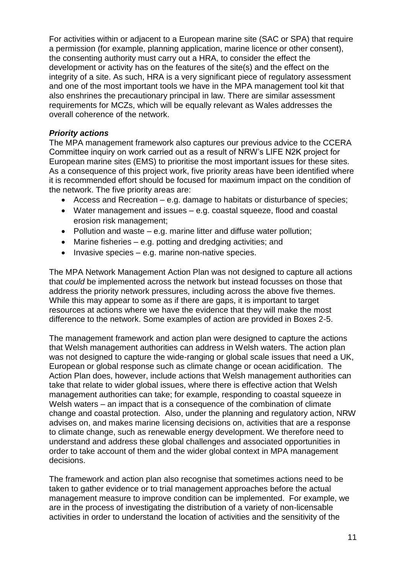For activities within or adjacent to a European marine site (SAC or SPA) that require a permission (for example, planning application, marine licence or other consent), the consenting authority must carry out a HRA, to consider the effect the development or activity has on the features of the site(s) and the effect on the integrity of a site. As such, HRA is a very significant piece of regulatory assessment and one of the most important tools we have in the MPA management tool kit that also enshrines the precautionary principal in law. There are similar assessment requirements for MCZs, which will be equally relevant as Wales addresses the overall coherence of the network.

### *Priority actions*

The MPA management framework also captures our previous advice to the CCERA Committee inquiry on work carried out as a result of NRW's LIFE N2K project for European marine sites (EMS) to prioritise the most important issues for these sites. As a consequence of this project work, five priority areas have been identified where it is recommended effort should be focused for maximum impact on the condition of the network. The five priority areas are:

- Access and Recreation e.g. damage to habitats or disturbance of species;
- Water management and issues e.g. coastal squeeze, flood and coastal erosion risk management;
- Pollution and waste e.g. marine litter and diffuse water pollution;
- Marine fisheries e.g. potting and dredging activities; and
- $\bullet$  Invasive species e.g. marine non-native species.

The MPA Network Management Action Plan was not designed to capture all actions that *could* be implemented across the network but instead focusses on those that address the priority network pressures, including across the above five themes. While this may appear to some as if there are gaps, it is important to target resources at actions where we have the evidence that they will make the most difference to the network. Some examples of action are provided in Boxes 2-5.

The management framework and action plan were designed to capture the actions that Welsh management authorities can address in Welsh waters. The action plan was not designed to capture the wide-ranging or global scale issues that need a UK, European or global response such as climate change or ocean acidification. The Action Plan does, however, include actions that Welsh management authorities can take that relate to wider global issues, where there is effective action that Welsh management authorities can take; for example, responding to coastal squeeze in Welsh waters – an impact that is a consequence of the combination of climate change and coastal protection. Also, under the planning and regulatory action, NRW advises on, and makes marine licensing decisions on, activities that are a response to climate change, such as renewable energy development. We therefore need to understand and address these global challenges and associated opportunities in order to take account of them and the wider global context in MPA management decisions.

The framework and action plan also recognise that sometimes actions need to be taken to gather evidence or to trial management approaches before the actual management measure to improve condition can be implemented. For example, we are in the process of investigating the distribution of a variety of non-licensable activities in order to understand the location of activities and the sensitivity of the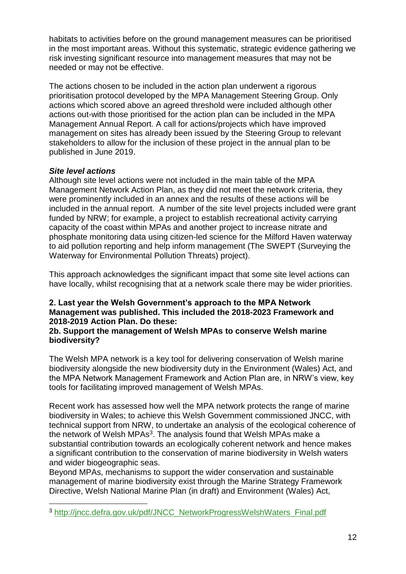habitats to activities before on the ground management measures can be prioritised in the most important areas. Without this systematic, strategic evidence gathering we risk investing significant resource into management measures that may not be needed or may not be effective.

The actions chosen to be included in the action plan underwent a rigorous prioritisation protocol developed by the MPA Management Steering Group. Only actions which scored above an agreed threshold were included although other actions out-with those prioritised for the action plan can be included in the MPA Management Annual Report. A call for actions/projects which have improved management on sites has already been issued by the Steering Group to relevant stakeholders to allow for the inclusion of these project in the annual plan to be published in June 2019.

### *Site level actions*

1

Although site level actions were not included in the main table of the MPA Management Network Action Plan, as they did not meet the network criteria, they were prominently included in an annex and the results of these actions will be included in the annual report. A number of the site level projects included were grant funded by NRW; for example, a project to establish recreational activity carrying capacity of the coast within MPAs and another project to increase nitrate and phosphate monitoring data using citizen-led science for the Milford Haven waterway to aid pollution reporting and help inform management (The SWEPT (Surveying the Waterway for Environmental Pollution Threats) project).

This approach acknowledges the significant impact that some site level actions can have locally, whilst recognising that at a network scale there may be wider priorities.

### **2. Last year the Welsh Government's approach to the MPA Network Management was published. This included the 2018-2023 Framework and 2018-2019 Action Plan. Do these:**

### **2b. Support the management of Welsh MPAs to conserve Welsh marine biodiversity?**

The Welsh MPA network is a key tool for delivering conservation of Welsh marine biodiversity alongside the new biodiversity duty in the Environment (Wales) Act, and the MPA Network Management Framework and Action Plan are, in NRW's view, key tools for facilitating improved management of Welsh MPAs.

Recent work has assessed how well the MPA network protects the range of marine biodiversity in Wales; to achieve this Welsh Government commissioned JNCC, with technical support from NRW, to undertake an analysis of the ecological coherence of the network of Welsh MPAs<sup>3</sup>. The analysis found that Welsh MPAs make a substantial contribution towards an ecologically coherent network and hence makes a significant contribution to the conservation of marine biodiversity in Welsh waters and wider biogeographic seas.

Beyond MPAs, mechanisms to support the wider conservation and sustainable management of marine biodiversity exist through the Marine Strategy Framework Directive, Welsh National Marine Plan (in draft) and Environment (Wales) Act,

<sup>3</sup> [http://jncc.defra.gov.uk/pdf/JNCC\\_NetworkProgressWelshWaters\\_Final.pdf](http://jncc.defra.gov.uk/pdf/JNCC_NetworkProgressWelshWaters_Final.pdf)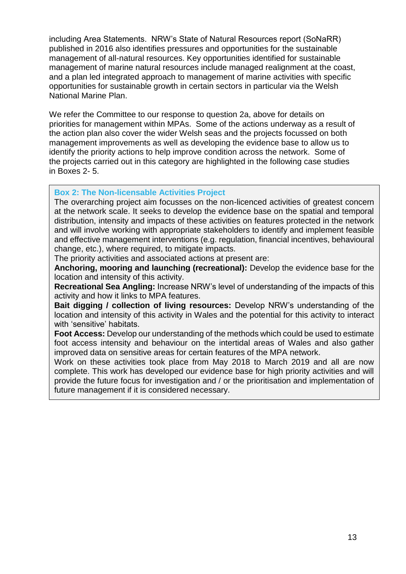including Area Statements. NRW's State of Natural Resources report (SoNaRR) published in 2016 also identifies pressures and opportunities for the sustainable management of all-natural resources. Key opportunities identified for sustainable management of marine natural resources include managed realignment at the coast, and a plan led integrated approach to management of marine activities with specific opportunities for sustainable growth in certain sectors in particular via the Welsh National Marine Plan.

We refer the Committee to our response to question 2a, above for details on priorities for management within MPAs. Some of the actions underway as a result of the action plan also cover the wider Welsh seas and the projects focussed on both management improvements as well as developing the evidence base to allow us to identify the priority actions to help improve condition across the network. Some of the projects carried out in this category are highlighted in the following case studies in Boxes 2- 5.

#### **Box 2: The Non-licensable Activities Project**

The overarching project aim focusses on the non-licenced activities of greatest concern at the network scale. It seeks to develop the evidence base on the spatial and temporal distribution, intensity and impacts of these activities on features protected in the network and will involve working with appropriate stakeholders to identify and implement feasible and effective management interventions (e.g. regulation, financial incentives, behavioural change, etc.), where required, to mitigate impacts.

The priority activities and associated actions at present are:

**Anchoring, mooring and launching (recreational):** Develop the evidence base for the location and intensity of this activity.

**Recreational Sea Angling:** Increase NRW's level of understanding of the impacts of this activity and how it links to MPA features.

**Bait digging / collection of living resources:** Develop NRW's understanding of the location and intensity of this activity in Wales and the potential for this activity to interact with 'sensitive' habitats.

**Foot Access:** Develop our understanding of the methods which could be used to estimate foot access intensity and behaviour on the intertidal areas of Wales and also gather improved data on sensitive areas for certain features of the MPA network.

Work on these activities took place from May 2018 to March 2019 and all are now complete. This work has developed our evidence base for high priority activities and will provide the future focus for investigation and / or the prioritisation and implementation of future management if it is considered necessary.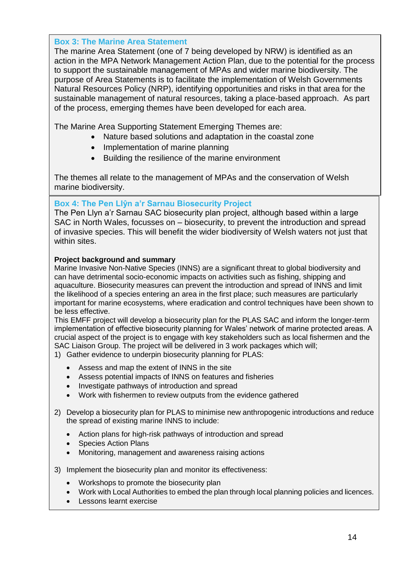### **Box 3: The Marine Area Statement**

The marine Area Statement (one of 7 being developed by NRW) is identified as an action in the MPA Network Management Action Plan, due to the potential for the process to support the sustainable management of MPAs and wider marine biodiversity. The purpose of Area Statements is to facilitate the implementation of Welsh Governments Natural Resources Policy (NRP), identifying opportunities and risks in that area for the sustainable management of natural resources, taking a place-based approach. As part of the process, emerging themes have been developed for each area.

The Marine Area Supporting Statement Emerging Themes are:

- Nature based solutions and adaptation in the coastal zone
- Implementation of marine planning
- Building the resilience of the marine environment

The themes all relate to the management of MPAs and the conservation of Welsh marine biodiversity.

## **Box 4: The Pen Llŷn a'r Sarnau Biosecurity Project**

The Pen Llyn a'r Sarnau SAC biosecurity plan project, although based within a large SAC in North Wales, focusses on – biosecurity, to prevent the introduction and spread of invasive species. This will benefit the wider biodiversity of Welsh waters not just that within sites.

### **Project background and summary**

Marine Invasive Non-Native Species (INNS) are a significant threat to global biodiversity and can have detrimental socio-economic impacts on activities such as fishing, shipping and aquaculture. Biosecurity measures can prevent the introduction and spread of INNS and limit the likelihood of a species entering an area in the first place; such measures are particularly important for marine ecosystems, where eradication and control techniques have been shown to be less effective.

This EMFF project will develop a biosecurity plan for the PLAS SAC and inform the longer-term implementation of effective biosecurity planning for Wales' network of marine protected areas. A crucial aspect of the project is to engage with key stakeholders such as local fishermen and the SAC Liaison Group. The project will be delivered in 3 work packages which will;

- 1) Gather evidence to underpin biosecurity planning for PLAS:
	- Assess and map the extent of INNS in the site
	- Assess potential impacts of INNS on features and fisheries
	- Investigate pathways of introduction and spread
	- Work with fishermen to review outputs from the evidence gathered
- 2) Develop a biosecurity plan for PLAS to minimise new anthropogenic introductions and reduce the spread of existing marine INNS to include:
	- Action plans for high-risk pathways of introduction and spread
	- Species Action Plans
	- Monitoring, management and awareness raising actions
- 3) Implement the biosecurity plan and monitor its effectiveness:
	- Workshops to promote the biosecurity plan
	- Work with Local Authorities to embed the plan through local planning policies and licences.
	- Lessons learnt exercise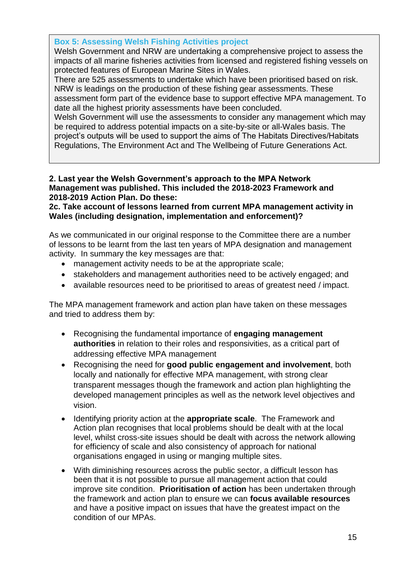### **Box 5: Assessing Welsh Fishing Activities project**

Welsh Government and NRW are undertaking a comprehensive project to assess the impacts of all marine fisheries activities from licensed and registered fishing vessels on protected features of European Marine Sites in Wales.

There are 525 assessments to undertake which have been prioritised based on risk. NRW is leadings on the production of these fishing gear assessments. These assessment form part of the evidence base to support effective MPA management. To date all the highest priority assessments have been concluded.

Welsh Government will use the assessments to consider any management which may be required to address potential impacts on a site-by-site or all-Wales basis. The project's outputs will be used to support the aims of The Habitats Directives/Habitats Regulations, The Environment Act and The Wellbeing of Future Generations Act.

### **2. Last year the Welsh Government's approach to the MPA Network Management was published. This included the 2018-2023 Framework and 2018-2019 Action Plan. Do these:**

**2c. Take account of lessons learned from current MPA management activity in Wales (including designation, implementation and enforcement)?** 

As we communicated in our original response to the Committee there are a number of lessons to be learnt from the last ten years of MPA designation and management activity. In summary the key messages are that:

- management activity needs to be at the appropriate scale;
- stakeholders and management authorities need to be actively engaged; and
- available resources need to be prioritised to areas of greatest need / impact.

The MPA management framework and action plan have taken on these messages and tried to address them by:

- Recognising the fundamental importance of **engaging management authorities** in relation to their roles and responsivities, as a critical part of addressing effective MPA management
- Recognising the need for **good public engagement and involvement**, both locally and nationally for effective MPA management, with strong clear transparent messages though the framework and action plan highlighting the developed management principles as well as the network level objectives and vision.
- Identifying priority action at the **appropriate scale**. The Framework and Action plan recognises that local problems should be dealt with at the local level, whilst cross-site issues should be dealt with across the network allowing for efficiency of scale and also consistency of approach for national organisations engaged in using or manging multiple sites.
- With diminishing resources across the public sector, a difficult lesson has been that it is not possible to pursue all management action that could improve site condition. **Prioritisation of action** has been undertaken through the framework and action plan to ensure we can **focus available resources** and have a positive impact on issues that have the greatest impact on the condition of our MPAs.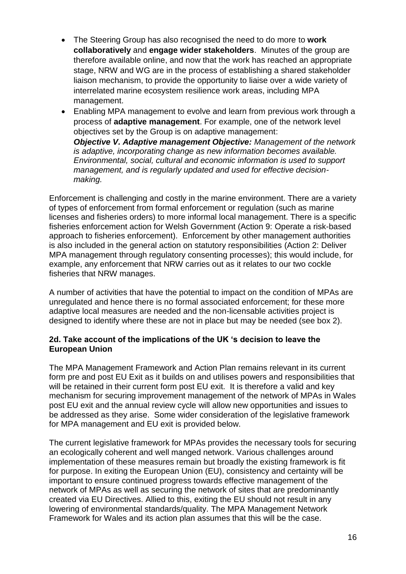- The Steering Group has also recognised the need to do more to **work collaboratively** and **engage wider stakeholders**. Minutes of the group are therefore available online, and now that the work has reached an appropriate stage, NRW and WG are in the process of establishing a shared stakeholder liaison mechanism, to provide the opportunity to liaise over a wide variety of interrelated marine ecosystem resilience work areas, including MPA management.
- Enabling MPA management to evolve and learn from previous work through a process of **adaptive management**. For example, one of the network level objectives set by the Group is on adaptive management: *Objective V. Adaptive management Objective: Management of the network is adaptive, incorporating change as new information becomes available. Environmental, social, cultural and economic information is used to support management, and is regularly updated and used for effective decisionmaking.*

Enforcement is challenging and costly in the marine environment. There are a variety of types of enforcement from formal enforcement or regulation (such as marine licenses and fisheries orders) to more informal local management. There is a specific fisheries enforcement action for Welsh Government (Action 9: Operate a risk-based approach to fisheries enforcement). Enforcement by other management authorities is also included in the general action on statutory responsibilities (Action 2: Deliver MPA management through regulatory consenting processes); this would include, for example, any enforcement that NRW carries out as it relates to our two cockle fisheries that NRW manages.

A number of activities that have the potential to impact on the condition of MPAs are unregulated and hence there is no formal associated enforcement; for these more adaptive local measures are needed and the non-licensable activities project is designed to identify where these are not in place but may be needed (see box 2).

### **2d. Take account of the implications of the UK 's decision to leave the European Union**

The MPA Management Framework and Action Plan remains relevant in its current form pre and post EU Exit as it builds on and utilises powers and responsibilities that will be retained in their current form post EU exit. It is therefore a valid and key mechanism for securing improvement management of the network of MPAs in Wales post EU exit and the annual review cycle will allow new opportunities and issues to be addressed as they arise. Some wider consideration of the legislative framework for MPA management and EU exit is provided below.

The current legislative framework for MPAs provides the necessary tools for securing an ecologically coherent and well manged network. Various challenges around implementation of these measures remain but broadly the existing framework is fit for purpose. In exiting the European Union (EU), consistency and certainty will be important to ensure continued progress towards effective management of the network of MPAs as well as securing the network of sites that are predominantly created via EU Directives. Allied to this, exiting the EU should not result in any lowering of environmental standards/quality. The MPA Management Network Framework for Wales and its action plan assumes that this will be the case.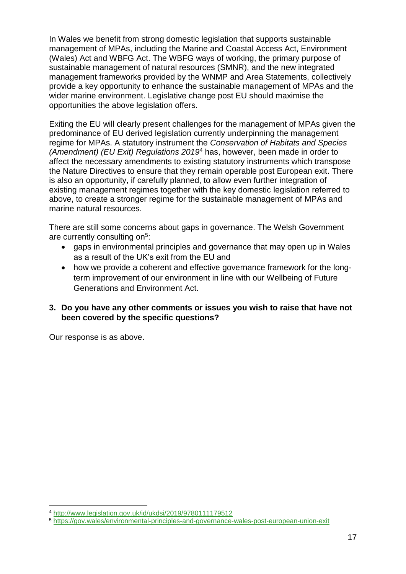In Wales we benefit from strong domestic legislation that supports sustainable management of MPAs, including the Marine and Coastal Access Act, Environment (Wales) Act and WBFG Act. The WBFG ways of working, the primary purpose of sustainable management of natural resources (SMNR), and the new integrated management frameworks provided by the WNMP and Area Statements, collectively provide a key opportunity to enhance the sustainable management of MPAs and the wider marine environment. Legislative change post EU should maximise the opportunities the above legislation offers.

Exiting the EU will clearly present challenges for the management of MPAs given the predominance of EU derived legislation currently underpinning the management regime for MPAs. A statutory instrument the *Conservation of Habitats and Species (Amendment) (EU Exit) Regulations 2019*<sup>4</sup> has, however, been made in order to affect the necessary amendments to existing statutory instruments which transpose the Nature Directives to ensure that they remain operable post European exit. There is also an opportunity, if carefully planned, to allow even further integration of existing management regimes together with the key domestic legislation referred to above, to create a stronger regime for the sustainable management of MPAs and marine natural resources.

There are still some concerns about gaps in governance. The Welsh Government are currently consulting on<sup>5</sup>:

- gaps in environmental principles and governance that may open up in Wales as a result of the UK's exit from the EU and
- how we provide a coherent and effective governance framework for the longterm improvement of our environment in line with our Wellbeing of Future Generations and Environment Act.

## **3. Do you have any other comments or issues you wish to raise that have not been covered by the specific questions?**

Our response is as above.

1

<sup>4</sup> <http://www.legislation.gov.uk/id/ukdsi/2019/9780111179512>

<sup>5</sup> <https://gov.wales/environmental-principles-and-governance-wales-post-european-union-exit>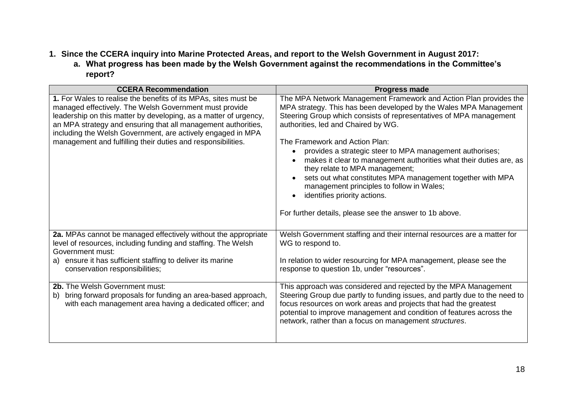# **1. Since the CCERA inquiry into Marine Protected Areas, and report to the Welsh Government in August 2017:**

**a. What progress has been made by the Welsh Government against the recommendations in the Committee's report?**

| <b>CCERA Recommendation</b>                                                                                                                                                                                                                                                                                                                                                                   | <b>Progress made</b>                                                                                                                                                                                                                                                                                                                                                                                                                                                                                                                                                                                                                                            |
|-----------------------------------------------------------------------------------------------------------------------------------------------------------------------------------------------------------------------------------------------------------------------------------------------------------------------------------------------------------------------------------------------|-----------------------------------------------------------------------------------------------------------------------------------------------------------------------------------------------------------------------------------------------------------------------------------------------------------------------------------------------------------------------------------------------------------------------------------------------------------------------------------------------------------------------------------------------------------------------------------------------------------------------------------------------------------------|
| 1. For Wales to realise the benefits of its MPAs, sites must be<br>managed effectively. The Welsh Government must provide<br>leadership on this matter by developing, as a matter of urgency,<br>an MPA strategy and ensuring that all management authorities,<br>including the Welsh Government, are actively engaged in MPA<br>management and fulfilling their duties and responsibilities. | The MPA Network Management Framework and Action Plan provides the<br>MPA strategy. This has been developed by the Wales MPA Management<br>Steering Group which consists of representatives of MPA management<br>authorities, led and Chaired by WG.<br>The Framework and Action Plan:<br>provides a strategic steer to MPA management authorises;<br>makes it clear to management authorities what their duties are, as<br>they relate to MPA management;<br>sets out what constitutes MPA management together with MPA<br>management principles to follow in Wales;<br>identifies priority actions.<br>For further details, please see the answer to 1b above. |
| 2a. MPAs cannot be managed effectively without the appropriate<br>level of resources, including funding and staffing. The Welsh<br>Government must:                                                                                                                                                                                                                                           | Welsh Government staffing and their internal resources are a matter for<br>WG to respond to.                                                                                                                                                                                                                                                                                                                                                                                                                                                                                                                                                                    |
| a) ensure it has sufficient staffing to deliver its marine<br>conservation responsibilities;                                                                                                                                                                                                                                                                                                  | In relation to wider resourcing for MPA management, please see the<br>response to question 1b, under "resources".                                                                                                                                                                                                                                                                                                                                                                                                                                                                                                                                               |
| 2b. The Welsh Government must:<br>bring forward proposals for funding an area-based approach,<br>b)<br>with each management area having a dedicated officer; and                                                                                                                                                                                                                              | This approach was considered and rejected by the MPA Management<br>Steering Group due partly to funding issues, and partly due to the need to<br>focus resources on work areas and projects that had the greatest<br>potential to improve management and condition of features across the<br>network, rather than a focus on management structures.                                                                                                                                                                                                                                                                                                             |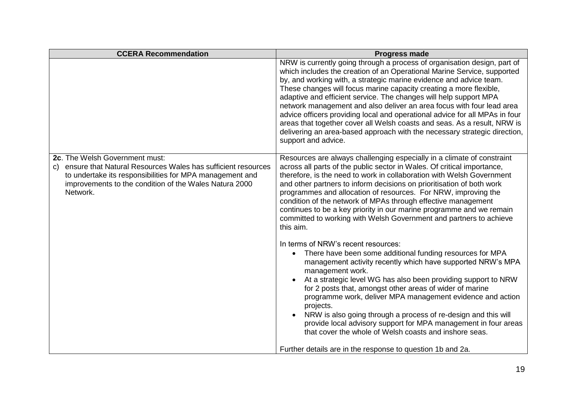| <b>CCERA Recommendation</b>                                                                                                                                                                                                                      | <b>Progress made</b>                                                                                                                                                                                                                                                                                                                                                                                                                                                                                                                                                                                                                                                                                         |
|--------------------------------------------------------------------------------------------------------------------------------------------------------------------------------------------------------------------------------------------------|--------------------------------------------------------------------------------------------------------------------------------------------------------------------------------------------------------------------------------------------------------------------------------------------------------------------------------------------------------------------------------------------------------------------------------------------------------------------------------------------------------------------------------------------------------------------------------------------------------------------------------------------------------------------------------------------------------------|
|                                                                                                                                                                                                                                                  | NRW is currently going through a process of organisation design, part of<br>which includes the creation of an Operational Marine Service, supported<br>by, and working with, a strategic marine evidence and advice team.<br>These changes will focus marine capacity creating a more flexible,<br>adaptive and efficient service. The changes will help support MPA<br>network management and also deliver an area focus with four lead area<br>advice officers providing local and operational advice for all MPAs in four<br>areas that together cover all Welsh coasts and seas. As a result, NRW is<br>delivering an area-based approach with the necessary strategic direction,<br>support and advice. |
| 2c. The Welsh Government must:<br>ensure that Natural Resources Wales has sufficient resources<br>$\mathsf{C}$<br>to undertake its responsibilities for MPA management and<br>improvements to the condition of the Wales Natura 2000<br>Network. | Resources are always challenging especially in a climate of constraint<br>across all parts of the public sector in Wales. Of critical importance,<br>therefore, is the need to work in collaboration with Welsh Government<br>and other partners to inform decisions on prioritisation of both work<br>programmes and allocation of resources. For NRW, improving the<br>condition of the network of MPAs through effective management<br>continues to be a key priority in our marine programme and we remain<br>committed to working with Welsh Government and partners to achieve<br>this aim.                                                                                                            |
|                                                                                                                                                                                                                                                  | In terms of NRW's recent resources:<br>There have been some additional funding resources for MPA<br>management activity recently which have supported NRW's MPA<br>management work.<br>At a strategic level WG has also been providing support to NRW<br>for 2 posts that, amongst other areas of wider of marine<br>programme work, deliver MPA management evidence and action<br>projects.<br>NRW is also going through a process of re-design and this will<br>provide local advisory support for MPA management in four areas<br>that cover the whole of Welsh coasts and inshore seas.                                                                                                                  |
|                                                                                                                                                                                                                                                  | Further details are in the response to question 1b and 2a.                                                                                                                                                                                                                                                                                                                                                                                                                                                                                                                                                                                                                                                   |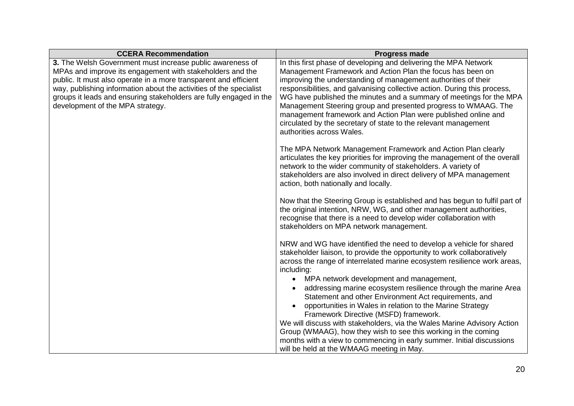| <b>CCERA Recommendation</b>                                                                            | <b>Progress made</b>                                                                                                                           |
|--------------------------------------------------------------------------------------------------------|------------------------------------------------------------------------------------------------------------------------------------------------|
| 3. The Welsh Government must increase public awareness of                                              | In this first phase of developing and delivering the MPA Network                                                                               |
| MPAs and improve its engagement with stakeholders and the                                              | Management Framework and Action Plan the focus has been on                                                                                     |
| public. It must also operate in a more transparent and efficient                                       | improving the understanding of management authorities of their                                                                                 |
| way, publishing information about the activities of the specialist                                     | responsibilities, and galvanising collective action. During this process,                                                                      |
| groups it leads and ensuring stakeholders are fully engaged in the<br>development of the MPA strategy. | WG have published the minutes and a summary of meetings for the MPA<br>Management Steering group and presented progress to WMAAG. The          |
|                                                                                                        | management framework and Action Plan were published online and                                                                                 |
|                                                                                                        | circulated by the secretary of state to the relevant management                                                                                |
|                                                                                                        | authorities across Wales.                                                                                                                      |
|                                                                                                        |                                                                                                                                                |
|                                                                                                        | The MPA Network Management Framework and Action Plan clearly                                                                                   |
|                                                                                                        | articulates the key priorities for improving the management of the overall                                                                     |
|                                                                                                        | network to the wider community of stakeholders. A variety of                                                                                   |
|                                                                                                        | stakeholders are also involved in direct delivery of MPA management                                                                            |
|                                                                                                        | action, both nationally and locally.                                                                                                           |
|                                                                                                        | Now that the Steering Group is established and has begun to fulfil part of                                                                     |
|                                                                                                        | the original intention, NRW, WG, and other management authorities,                                                                             |
|                                                                                                        | recognise that there is a need to develop wider collaboration with                                                                             |
|                                                                                                        | stakeholders on MPA network management.                                                                                                        |
|                                                                                                        |                                                                                                                                                |
|                                                                                                        | NRW and WG have identified the need to develop a vehicle for shared<br>stakeholder liaison, to provide the opportunity to work collaboratively |
|                                                                                                        | across the range of interrelated marine ecosystem resilience work areas,                                                                       |
|                                                                                                        | including:                                                                                                                                     |
|                                                                                                        | MPA network development and management,                                                                                                        |
|                                                                                                        | addressing marine ecosystem resilience through the marine Area                                                                                 |
|                                                                                                        | Statement and other Environment Act requirements, and                                                                                          |
|                                                                                                        | opportunities in Wales in relation to the Marine Strategy                                                                                      |
|                                                                                                        | Framework Directive (MSFD) framework.                                                                                                          |
|                                                                                                        | We will discuss with stakeholders, via the Wales Marine Advisory Action                                                                        |
|                                                                                                        | Group (WMAAG), how they wish to see this working in the coming                                                                                 |
|                                                                                                        | months with a view to commencing in early summer. Initial discussions                                                                          |
|                                                                                                        | will be held at the WMAAG meeting in May.                                                                                                      |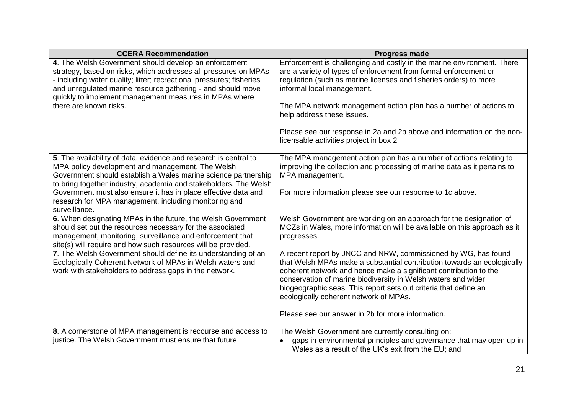| <b>CCERA Recommendation</b>                                                                                                                                                                                                                                                                                                                                                           | <b>Progress made</b>                                                                                                                                                                                                                                                                                                                                                                                                                                                  |
|---------------------------------------------------------------------------------------------------------------------------------------------------------------------------------------------------------------------------------------------------------------------------------------------------------------------------------------------------------------------------------------|-----------------------------------------------------------------------------------------------------------------------------------------------------------------------------------------------------------------------------------------------------------------------------------------------------------------------------------------------------------------------------------------------------------------------------------------------------------------------|
| 4. The Welsh Government should develop an enforcement<br>strategy, based on risks, which addresses all pressures on MPAs<br>- including water quality; litter; recreational pressures; fisheries<br>and unregulated marine resource gathering - and should move<br>quickly to implement management measures in MPAs where<br>there are known risks.                                   | Enforcement is challenging and costly in the marine environment. There<br>are a variety of types of enforcement from formal enforcement or<br>regulation (such as marine licenses and fisheries orders) to more<br>informal local management.<br>The MPA network management action plan has a number of actions to<br>help address these issues.<br>Please see our response in 2a and 2b above and information on the non-<br>licensable activities project in box 2. |
|                                                                                                                                                                                                                                                                                                                                                                                       |                                                                                                                                                                                                                                                                                                                                                                                                                                                                       |
| 5. The availability of data, evidence and research is central to<br>MPA policy development and management. The Welsh<br>Government should establish a Wales marine science partnership<br>to bring together industry, academia and stakeholders. The Welsh<br>Government must also ensure it has in place effective data and<br>research for MPA management, including monitoring and | The MPA management action plan has a number of actions relating to<br>improving the collection and processing of marine data as it pertains to<br>MPA management.<br>For more information please see our response to 1c above.                                                                                                                                                                                                                                        |
| surveillance.<br>6. When designating MPAs in the future, the Welsh Government                                                                                                                                                                                                                                                                                                         | Welsh Government are working on an approach for the designation of                                                                                                                                                                                                                                                                                                                                                                                                    |
| should set out the resources necessary for the associated<br>management, monitoring, surveillance and enforcement that<br>site(s) will require and how such resources will be provided.                                                                                                                                                                                               | MCZs in Wales, more information will be available on this approach as it<br>progresses.                                                                                                                                                                                                                                                                                                                                                                               |
| 7. The Welsh Government should define its understanding of an<br>Ecologically Coherent Network of MPAs in Welsh waters and<br>work with stakeholders to address gaps in the network.                                                                                                                                                                                                  | A recent report by JNCC and NRW, commissioned by WG, has found<br>that Welsh MPAs make a substantial contribution towards an ecologically<br>coherent network and hence make a significant contribution to the<br>conservation of marine biodiversity in Welsh waters and wider<br>biogeographic seas. This report sets out criteria that define an<br>ecologically coherent network of MPAs.<br>Please see our answer in 2b for more information.                    |
| 8. A cornerstone of MPA management is recourse and access to                                                                                                                                                                                                                                                                                                                          | The Welsh Government are currently consulting on:                                                                                                                                                                                                                                                                                                                                                                                                                     |
| justice. The Welsh Government must ensure that future                                                                                                                                                                                                                                                                                                                                 | gaps in environmental principles and governance that may open up in<br>Wales as a result of the UK's exit from the EU; and                                                                                                                                                                                                                                                                                                                                            |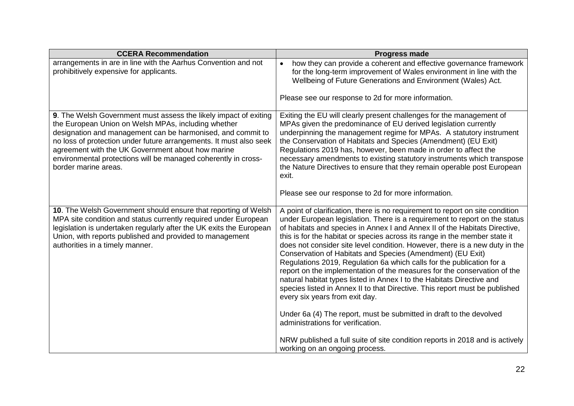| <b>CCERA Recommendation</b>                                                                                                                                                                                                                                                                                                                                                                                 | <b>Progress made</b>                                                                                                                                                                                                                                                                                                                                                                                                                                                                                                                                                                                                                                                                                                                                                                                                                                                                       |
|-------------------------------------------------------------------------------------------------------------------------------------------------------------------------------------------------------------------------------------------------------------------------------------------------------------------------------------------------------------------------------------------------------------|--------------------------------------------------------------------------------------------------------------------------------------------------------------------------------------------------------------------------------------------------------------------------------------------------------------------------------------------------------------------------------------------------------------------------------------------------------------------------------------------------------------------------------------------------------------------------------------------------------------------------------------------------------------------------------------------------------------------------------------------------------------------------------------------------------------------------------------------------------------------------------------------|
| arrangements in are in line with the Aarhus Convention and not<br>prohibitively expensive for applicants.                                                                                                                                                                                                                                                                                                   | how they can provide a coherent and effective governance framework<br>$\bullet$<br>for the long-term improvement of Wales environment in line with the<br>Wellbeing of Future Generations and Environment (Wales) Act.                                                                                                                                                                                                                                                                                                                                                                                                                                                                                                                                                                                                                                                                     |
|                                                                                                                                                                                                                                                                                                                                                                                                             | Please see our response to 2d for more information.                                                                                                                                                                                                                                                                                                                                                                                                                                                                                                                                                                                                                                                                                                                                                                                                                                        |
| 9. The Welsh Government must assess the likely impact of exiting<br>the European Union on Welsh MPAs, including whether<br>designation and management can be harmonised, and commit to<br>no loss of protection under future arrangements. It must also seek<br>agreement with the UK Government about how marine<br>environmental protections will be managed coherently in cross-<br>border marine areas. | Exiting the EU will clearly present challenges for the management of<br>MPAs given the predominance of EU derived legislation currently<br>underpinning the management regime for MPAs. A statutory instrument<br>the Conservation of Habitats and Species (Amendment) (EU Exit)<br>Regulations 2019 has, however, been made in order to affect the<br>necessary amendments to existing statutory instruments which transpose<br>the Nature Directives to ensure that they remain operable post European<br>exit.                                                                                                                                                                                                                                                                                                                                                                          |
|                                                                                                                                                                                                                                                                                                                                                                                                             | Please see our response to 2d for more information.                                                                                                                                                                                                                                                                                                                                                                                                                                                                                                                                                                                                                                                                                                                                                                                                                                        |
| 10. The Welsh Government should ensure that reporting of Welsh<br>MPA site condition and status currently required under European<br>legislation is undertaken regularly after the UK exits the European<br>Union, with reports published and provided to management<br>authorities in a timely manner.                                                                                                     | A point of clarification, there is no requirement to report on site condition<br>under European legislation. There is a requirement to report on the status<br>of habitats and species in Annex I and Annex II of the Habitats Directive,<br>this is for the habitat or species across its range in the member state it<br>does not consider site level condition. However, there is a new duty in the<br>Conservation of Habitats and Species (Amendment) (EU Exit)<br>Regulations 2019, Regulation 6a which calls for the publication for a<br>report on the implementation of the measures for the conservation of the<br>natural habitat types listed in Annex I to the Habitats Directive and<br>species listed in Annex II to that Directive. This report must be published<br>every six years from exit day.<br>Under 6a (4) The report, must be submitted in draft to the devolved |
|                                                                                                                                                                                                                                                                                                                                                                                                             | administrations for verification.                                                                                                                                                                                                                                                                                                                                                                                                                                                                                                                                                                                                                                                                                                                                                                                                                                                          |
|                                                                                                                                                                                                                                                                                                                                                                                                             | NRW published a full suite of site condition reports in 2018 and is actively<br>working on an ongoing process.                                                                                                                                                                                                                                                                                                                                                                                                                                                                                                                                                                                                                                                                                                                                                                             |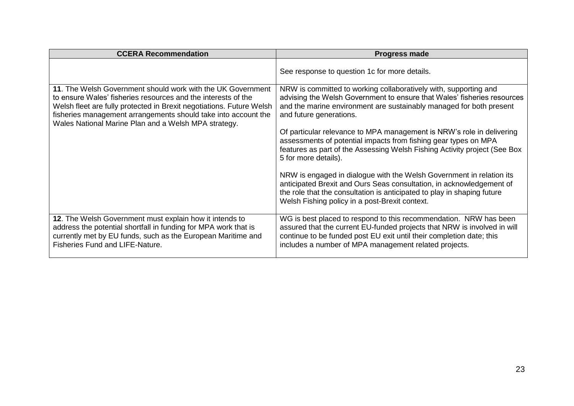| <b>CCERA Recommendation</b>                                                                                                                                                                                                                                                                                                    | <b>Progress made</b>                                                                                                                                                                                                                                                           |
|--------------------------------------------------------------------------------------------------------------------------------------------------------------------------------------------------------------------------------------------------------------------------------------------------------------------------------|--------------------------------------------------------------------------------------------------------------------------------------------------------------------------------------------------------------------------------------------------------------------------------|
|                                                                                                                                                                                                                                                                                                                                | See response to question 1c for more details.                                                                                                                                                                                                                                  |
| 11. The Welsh Government should work with the UK Government<br>to ensure Wales' fisheries resources and the interests of the<br>Welsh fleet are fully protected in Brexit negotiations. Future Welsh<br>fisheries management arrangements should take into account the<br>Wales National Marine Plan and a Welsh MPA strategy. | NRW is committed to working collaboratively with, supporting and<br>advising the Welsh Government to ensure that Wales' fisheries resources<br>and the marine environment are sustainably managed for both present<br>and future generations.                                  |
|                                                                                                                                                                                                                                                                                                                                | Of particular relevance to MPA management is NRW's role in delivering<br>assessments of potential impacts from fishing gear types on MPA<br>features as part of the Assessing Welsh Fishing Activity project (See Box<br>5 for more details).                                  |
|                                                                                                                                                                                                                                                                                                                                | NRW is engaged in dialogue with the Welsh Government in relation its<br>anticipated Brexit and Ours Seas consultation, in acknowledgement of<br>the role that the consultation is anticipated to play in shaping future<br>Welsh Fishing policy in a post-Brexit context.      |
| 12. The Welsh Government must explain how it intends to<br>address the potential shortfall in funding for MPA work that is<br>currently met by EU funds, such as the European Maritime and<br><b>Fisheries Fund and LIFE-Nature.</b>                                                                                           | WG is best placed to respond to this recommendation. NRW has been<br>assured that the current EU-funded projects that NRW is involved in will<br>continue to be funded post EU exit until their completion date; this<br>includes a number of MPA management related projects. |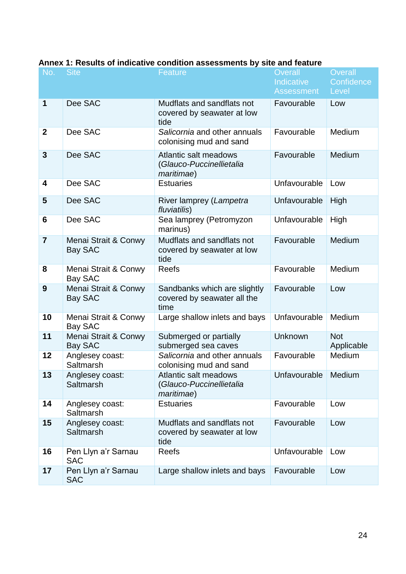| No.             | <b>Site</b>                         | <b>Feature</b>                                                          | <b>Overall</b><br><b>Indicative</b><br><b>Assessment</b> | Overall<br>Confidence<br>Level |
|-----------------|-------------------------------------|-------------------------------------------------------------------------|----------------------------------------------------------|--------------------------------|
| 1               | Dee SAC                             | Mudflats and sandflats not<br>covered by seawater at low<br>tide        | Favourable                                               | Low                            |
| $\mathbf{2}$    | Dee SAC                             | Salicornia and other annuals<br>colonising mud and sand                 | Favourable                                               | Medium                         |
| 3               | Dee SAC                             | Atlantic salt meadows<br>(Glauco-Puccinellietalia<br><i>maritimae</i> ) | Favourable                                               | Medium                         |
| 4               | Dee SAC                             | <b>Estuaries</b>                                                        | Unfavourable                                             | Low                            |
| 5               | Dee SAC                             | River lamprey (Lampetra<br>fluviatilis)                                 | Unfavourable                                             | High                           |
| $6\phantom{1}6$ | Dee SAC                             | Sea lamprey (Petromyzon<br>marinus)                                     | Unfavourable                                             | High                           |
| $\overline{7}$  | Menai Strait & Conwy<br>Bay SAC     | Mudflats and sandflats not<br>covered by seawater at low<br>tide        | Favourable                                               | Medium                         |
| 8               | Menai Strait & Conwy<br>Bay SAC     | <b>Reefs</b>                                                            | Favourable                                               | Medium                         |
| 9               | Menai Strait & Conwy<br>Bay SAC     | Sandbanks which are slightly<br>covered by seawater all the<br>time     | Favourable                                               | Low                            |
| 10              | Menai Strait & Conwy<br>Bay SAC     | Large shallow inlets and bays                                           | Unfavourable                                             | Medium                         |
| 11              | Menai Strait & Conwy<br>Bay SAC     | Submerged or partially<br>submerged sea caves                           | Unknown                                                  | <b>Not</b><br>Applicable       |
| 12              | Anglesey coast:<br>Saltmarsh        | Salicornia and other annuals<br>colonising mud and sand                 | Favourable                                               | Medium                         |
| 13              | Anglesey coast:<br><b>Saltmarsh</b> | Atlantic salt meadows<br>(Glauco-Puccinellietalia<br>maritimae)         | Unfavourable                                             | Medium                         |
| 14              | Anglesey coast:<br>Saltmarsh        | <b>Estuaries</b>                                                        | Favourable                                               | Low                            |
| 15              | Anglesey coast:<br>Saltmarsh        | Mudflats and sandflats not<br>covered by seawater at low<br>tide        | Favourable                                               | Low                            |
| 16              | Pen Llyn a'r Sarnau<br><b>SAC</b>   | <b>Reefs</b>                                                            | Unfavourable                                             | Low                            |
| 17              | Pen Llyn a'r Sarnau<br><b>SAC</b>   | Large shallow inlets and bays                                           | Favourable                                               | Low                            |

#### **Annex 1: Results of indicative condition assessments by site and feature**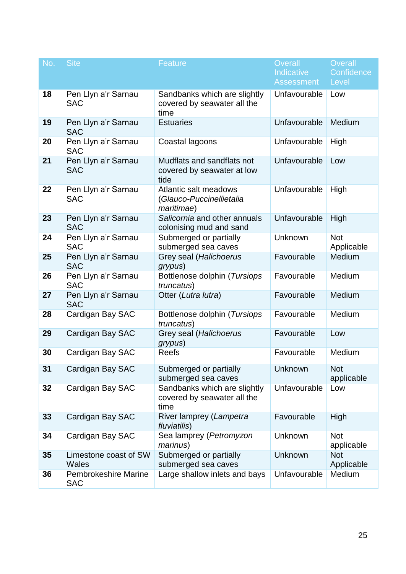| No. | <b>Site</b>                               | Feature                                                             | <b>Overall</b><br>Indicative<br><b>Assessment</b> | Overall<br>Confidence<br>Level |
|-----|-------------------------------------------|---------------------------------------------------------------------|---------------------------------------------------|--------------------------------|
| 18  | Pen Llyn a'r Sarnau<br><b>SAC</b>         | Sandbanks which are slightly<br>covered by seawater all the<br>time | Unfavourable                                      | Low                            |
| 19  | Pen Llyn a'r Sarnau<br><b>SAC</b>         | <b>Estuaries</b>                                                    | Unfavourable                                      | Medium                         |
| 20  | Pen Llyn a'r Sarnau<br><b>SAC</b>         | Coastal lagoons                                                     | Unfavourable                                      | High                           |
| 21  | Pen Llyn a'r Sarnau<br><b>SAC</b>         | Mudflats and sandflats not<br>covered by seawater at low<br>tide    | Unfavourable                                      | Low                            |
| 22  | Pen Llyn a'r Sarnau<br><b>SAC</b>         | Atlantic salt meadows<br>(Glauco-Puccinellietalia<br>maritimae)     | Unfavourable                                      | High                           |
| 23  | Pen Llyn a'r Sarnau<br><b>SAC</b>         | Salicornia and other annuals<br>colonising mud and sand             | Unfavourable                                      | High                           |
| 24  | Pen Llyn a'r Sarnau<br><b>SAC</b>         | Submerged or partially<br>submerged sea caves                       | Unknown                                           | <b>Not</b><br>Applicable       |
| 25  | Pen Llyn a'r Sarnau<br><b>SAC</b>         | Grey seal (Halichoerus<br>grypus)                                   | Favourable                                        | Medium                         |
| 26  | Pen Llyn a'r Sarnau<br><b>SAC</b>         | Bottlenose dolphin (Tursiops<br>truncatus)                          | Favourable                                        | Medium                         |
| 27  | Pen Llyn a'r Sarnau<br><b>SAC</b>         | Otter (Lutra lutra)                                                 | Favourable                                        | Medium                         |
| 28  | Cardigan Bay SAC                          | Bottlenose dolphin (Tursiops<br>truncatus)                          | Favourable                                        | Medium                         |
| 29  | Cardigan Bay SAC                          | Grey seal (Halichoerus<br>grypus)                                   | Favourable                                        | Low                            |
| 30  | Cardigan Bay SAC                          | <b>Reefs</b>                                                        | Favourable                                        | Medium                         |
| 31  | Cardigan Bay SAC                          | Submerged or partially<br>submerged sea caves                       | Unknown                                           | <b>Not</b><br>applicable       |
| 32  | Cardigan Bay SAC                          | Sandbanks which are slightly<br>covered by seawater all the<br>time | Unfavourable                                      | Low                            |
| 33  | Cardigan Bay SAC                          | River lamprey (Lampetra<br>fluviatilis)                             | Favourable                                        | High                           |
| 34  | Cardigan Bay SAC                          | Sea lamprey (Petromyzon<br><i>marinus</i> )                         | Unknown                                           | <b>Not</b><br>applicable       |
| 35  | Limestone coast of SW<br><b>Wales</b>     | Submerged or partially<br>submerged sea caves                       | Unknown                                           | <b>Not</b><br>Applicable       |
| 36  | <b>Pembrokeshire Marine</b><br><b>SAC</b> | Large shallow inlets and bays                                       | Unfavourable                                      | Medium                         |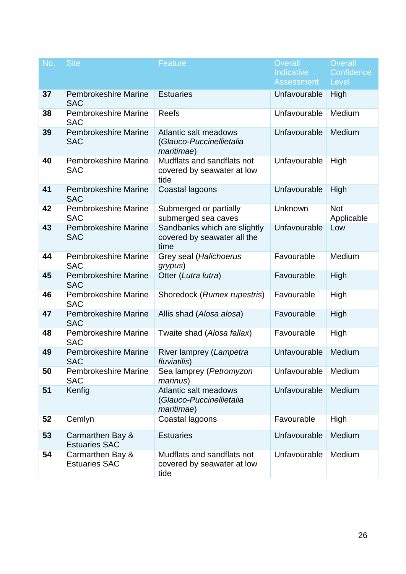| No. | <b>Site</b>                               | <b>Feature</b>                                                          | <b>Overall</b><br>Indicative<br><b>Assessment</b> | Overall<br>Confidence<br>Level |
|-----|-------------------------------------------|-------------------------------------------------------------------------|---------------------------------------------------|--------------------------------|
| 37  | <b>Pembrokeshire Marine</b><br><b>SAC</b> | <b>Estuaries</b>                                                        | Unfavourable                                      | High                           |
| 38  | <b>Pembrokeshire Marine</b><br><b>SAC</b> | <b>Reefs</b>                                                            | Unfavourable                                      | Medium                         |
| 39  | <b>Pembrokeshire Marine</b><br><b>SAC</b> | Atlantic salt meadows<br>(Glauco-Puccinellietalia<br>maritimae)         | Unfavourable                                      | Medium                         |
| 40  | <b>Pembrokeshire Marine</b><br><b>SAC</b> | Mudflats and sandflats not<br>covered by seawater at low<br>tide        | Unfavourable                                      | High                           |
| 41  | <b>Pembrokeshire Marine</b><br><b>SAC</b> | Coastal lagoons                                                         | Unfavourable                                      | High                           |
| 42  | <b>Pembrokeshire Marine</b><br><b>SAC</b> | Submerged or partially<br>submerged sea caves                           | Unknown                                           | <b>Not</b><br>Applicable       |
| 43  | Pembrokeshire Marine<br><b>SAC</b>        | Sandbanks which are slightly<br>covered by seawater all the<br>time     | Unfavourable                                      | Low                            |
| 44  | <b>Pembrokeshire Marine</b><br><b>SAC</b> | Grey seal (Halichoerus<br>grypus)                                       | Favourable                                        | Medium                         |
| 45  | <b>Pembrokeshire Marine</b><br><b>SAC</b> | Otter (Lutra lutra)                                                     | Favourable                                        | High                           |
| 46  | <b>Pembrokeshire Marine</b><br><b>SAC</b> | Shoredock (Rumex rupestris)                                             | Favourable                                        | High                           |
| 47  | <b>Pembrokeshire Marine</b><br><b>SAC</b> | Allis shad (Alosa alosa)                                                | Favourable                                        | High                           |
| 48  | <b>Pembrokeshire Marine</b><br><b>SAC</b> | Twaite shad (Alosa fallax)                                              | Favourable                                        | High                           |
| 49  | <b>Pembrokeshire Marine</b><br><b>SAC</b> | River lamprey (Lampetra<br>fluviatilis)                                 | Unfavourable                                      | Medium                         |
| 50  | <b>Pembrokeshire Marine</b><br><b>SAC</b> | Sea lamprey (Petromyzon<br><i>marinus</i> )                             | Unfavourable                                      | Medium                         |
| 51  | Kenfig                                    | Atlantic salt meadows<br>(Glauco-Puccinellietalia<br><i>maritimae</i> ) | Unfavourable                                      | Medium                         |
| 52  | Cemlyn                                    | Coastal lagoons                                                         | Favourable                                        | High                           |
| 53  | Carmarthen Bay &<br><b>Estuaries SAC</b>  | <b>Estuaries</b>                                                        | Unfavourable                                      | Medium                         |
| 54  | Carmarthen Bay &<br><b>Estuaries SAC</b>  | Mudflats and sandflats not<br>covered by seawater at low<br>tide        | Unfavourable                                      | Medium                         |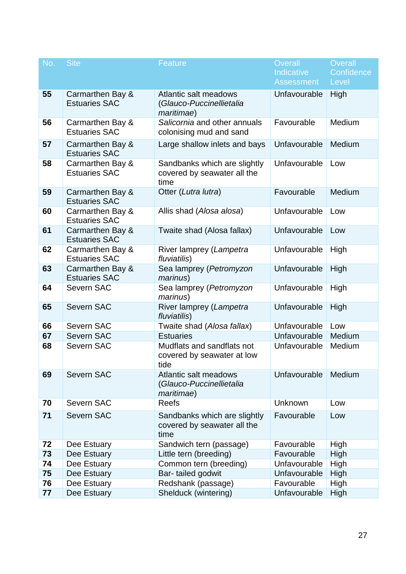| No. | <b>Site</b>                              | <b>Feature</b>                                                          | <b>Overall</b><br>Indicative<br><b>Assessment</b> | Overall<br>Confidence<br>Level |
|-----|------------------------------------------|-------------------------------------------------------------------------|---------------------------------------------------|--------------------------------|
| 55  | Carmarthen Bay &<br><b>Estuaries SAC</b> | Atlantic salt meadows<br>(Glauco-Puccinellietalia<br><i>maritimae</i> ) | Unfavourable                                      | High                           |
| 56  | Carmarthen Bay &<br><b>Estuaries SAC</b> | Salicornia and other annuals<br>colonising mud and sand                 | Favourable                                        | Medium                         |
| 57  | Carmarthen Bay &<br><b>Estuaries SAC</b> | Large shallow inlets and bays                                           | Unfavourable                                      | Medium                         |
| 58  | Carmarthen Bay &<br><b>Estuaries SAC</b> | Sandbanks which are slightly<br>covered by seawater all the<br>time     | Unfavourable                                      | Low                            |
| 59  | Carmarthen Bay &<br><b>Estuaries SAC</b> | Otter (Lutra lutra)                                                     | Favourable                                        | Medium                         |
| 60  | Carmarthen Bay &<br><b>Estuaries SAC</b> | Allis shad (Alosa alosa)                                                | Unfavourable                                      | Low                            |
| 61  | Carmarthen Bay &<br><b>Estuaries SAC</b> | Twaite shad (Alosa fallax)                                              | Unfavourable                                      | Low                            |
| 62  | Carmarthen Bay &<br><b>Estuaries SAC</b> | River lamprey (Lampetra<br>fluviatilis)                                 | Unfavourable                                      | High                           |
| 63  | Carmarthen Bay &<br><b>Estuaries SAC</b> | Sea lamprey (Petromyzon<br><i>marinus</i> )                             | Unfavourable                                      | High                           |
| 64  | <b>Severn SAC</b>                        | Sea lamprey (Petromyzon<br>marinus)                                     | Unfavourable                                      | High                           |
| 65  | <b>Severn SAC</b>                        | River lamprey (Lampetra<br>fluviatilis)                                 | Unfavourable                                      | High                           |
| 66  | Severn SAC                               | Twaite shad (Alosa fallax)                                              | Unfavourable                                      | Low                            |
| 67  | <b>Severn SAC</b>                        | <b>Estuaries</b>                                                        | Unfavourable                                      | Medium                         |
| 68  | Severn SAC                               | Mudflats and sandflats not<br>covered by seawater at low<br>tide        | Unfavourable                                      | Medium                         |
| 69  | <b>Severn SAC</b>                        | Atlantic salt meadows<br>(Glauco-Puccinellietalia<br>maritimae)         | Unfavourable                                      | Medium                         |
| 70  | <b>Severn SAC</b>                        | <b>Reefs</b>                                                            | Unknown                                           | Low                            |
| 71  | <b>Severn SAC</b>                        | Sandbanks which are slightly<br>covered by seawater all the<br>time     | Favourable                                        | Low                            |
| 72  | Dee Estuary                              | Sandwich tern (passage)                                                 | Favourable                                        | High                           |
| 73  | Dee Estuary                              | Little tern (breeding)                                                  | Favourable                                        | High                           |
| 74  | Dee Estuary                              | Common tern (breeding)                                                  | Unfavourable                                      | High                           |
| 75  | Dee Estuary                              | Bar-tailed godwit                                                       | Unfavourable                                      | High                           |
| 76  | Dee Estuary                              | Redshank (passage)                                                      | Favourable                                        | High                           |
| 77  | Dee Estuary                              | Shelduck (wintering)                                                    | Unfavourable                                      | High                           |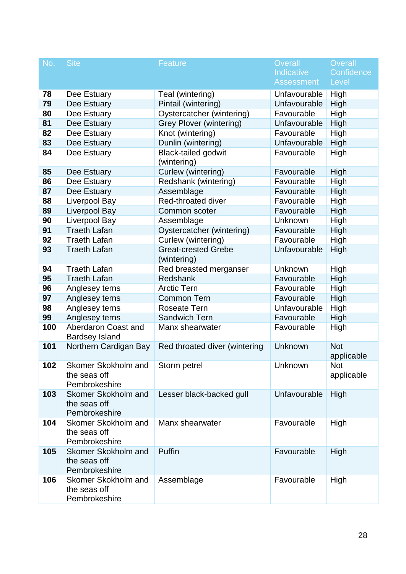| No. | <b>Site</b>                                          | <b>Feature</b>                            | <b>Overall</b><br>Indicative<br><b>Assessment</b> | Overall<br>Confidence<br>Level |
|-----|------------------------------------------------------|-------------------------------------------|---------------------------------------------------|--------------------------------|
| 78  | Dee Estuary                                          | Teal (wintering)                          | Unfavourable                                      | High                           |
| 79  | Dee Estuary                                          | Pintail (wintering)                       | Unfavourable                                      | High                           |
| 80  | Dee Estuary                                          | Oystercatcher (wintering)                 | Favourable                                        | High                           |
| 81  | Dee Estuary                                          | <b>Grey Plover (wintering)</b>            | Unfavourable                                      | High                           |
| 82  | Dee Estuary                                          | Knot (wintering)                          | Favourable                                        | High                           |
| 83  | Dee Estuary                                          | Dunlin (wintering)                        | Unfavourable                                      | High                           |
| 84  | Dee Estuary                                          | <b>Black-tailed godwit</b><br>(wintering) | Favourable                                        | High                           |
| 85  | Dee Estuary                                          | Curlew (wintering)                        | Favourable                                        | High                           |
| 86  | Dee Estuary                                          | Redshank (wintering)                      | Favourable                                        | High                           |
| 87  | Dee Estuary                                          | Assemblage                                | Favourable                                        | High                           |
| 88  | Liverpool Bay                                        | Red-throated diver                        | Favourable                                        | High                           |
| 89  | <b>Liverpool Bay</b>                                 | Common scoter                             | Favourable                                        | High                           |
| 90  | Liverpool Bay                                        | Assemblage                                | Unknown                                           | High                           |
| 91  | <b>Traeth Lafan</b>                                  | Oystercatcher (wintering)                 | Favourable                                        | High                           |
| 92  | <b>Traeth Lafan</b>                                  | Curlew (wintering)                        | Favourable                                        | High                           |
| 93  | <b>Traeth Lafan</b>                                  | <b>Great-crested Grebe</b><br>(wintering) | Unfavourable                                      | High                           |
| 94  | <b>Traeth Lafan</b>                                  | Red breasted merganser                    | Unknown                                           | High                           |
| 95  | <b>Traeth Lafan</b>                                  | Redshank                                  | Favourable                                        | High                           |
| 96  | Anglesey terns                                       | <b>Arctic Tern</b>                        | Favourable                                        | High                           |
| 97  | Anglesey terns                                       | <b>Common Tern</b>                        | Favourable                                        | High                           |
| 98  | Anglesey terns                                       | <b>Roseate Tern</b>                       | Unfavourable                                      | High                           |
| 99  | Anglesey terns                                       | <b>Sandwich Tern</b>                      | Favourable                                        | High                           |
| 100 | Aberdaron Coast and<br><b>Bardsey Island</b>         | Manx shearwater                           | Favourable                                        | High                           |
| 101 | Northern Cardigan Bay                                | Red throated diver (wintering             | Unknown                                           | <b>Not</b><br>applicable       |
| 102 | Skomer Skokholm and<br>the seas off<br>Pembrokeshire | Storm petrel                              | Unknown                                           | <b>Not</b><br>applicable       |
| 103 | Skomer Skokholm and<br>the seas off<br>Pembrokeshire | Lesser black-backed gull                  | Unfavourable                                      | High                           |
| 104 | Skomer Skokholm and<br>the seas off<br>Pembrokeshire | Manx shearwater                           | Favourable                                        | High                           |
| 105 | Skomer Skokholm and<br>the seas off<br>Pembrokeshire | Puffin                                    | Favourable                                        | High                           |
| 106 | Skomer Skokholm and<br>the seas off<br>Pembrokeshire | Assemblage                                | Favourable                                        | High                           |